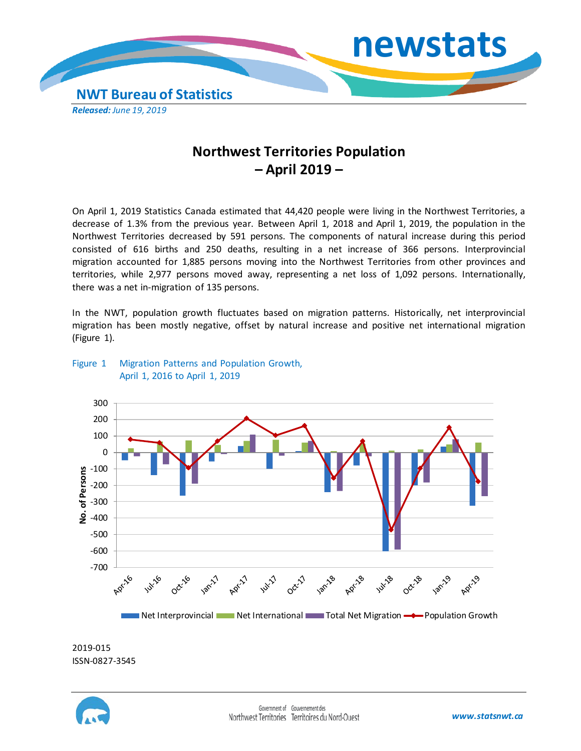

# **Northwest Territories Population – April 2019 –**

On April 1, 2019 Statistics Canada estimated that 44,420 people were living in the Northwest Territories, a decrease of 1.3% from the previous year. Between April 1, 2018 and April 1, 2019, the population in the Northwest Territories decreased by 591 persons. The components of natural increase during this period consisted of 616 births and 250 deaths, resulting in a net increase of 366 persons. Interprovincial migration accounted for 1,885 persons moving into the Northwest Territories from other provinces and territories, while 2,977 persons moved away, representing a net loss of 1,092 persons. Internationally, there was a net in-migration of 135 persons.

In the NWT, population growth fluctuates based on migration patterns. Historically, net interprovincial migration has been mostly negative, offset by natural increase and positive net international migration (Figure 1).



## Figure 1 Migration Patterns and Population Growth, April 1, 2016 to April 1, 2019

2019-015 ISSN-0827-3545

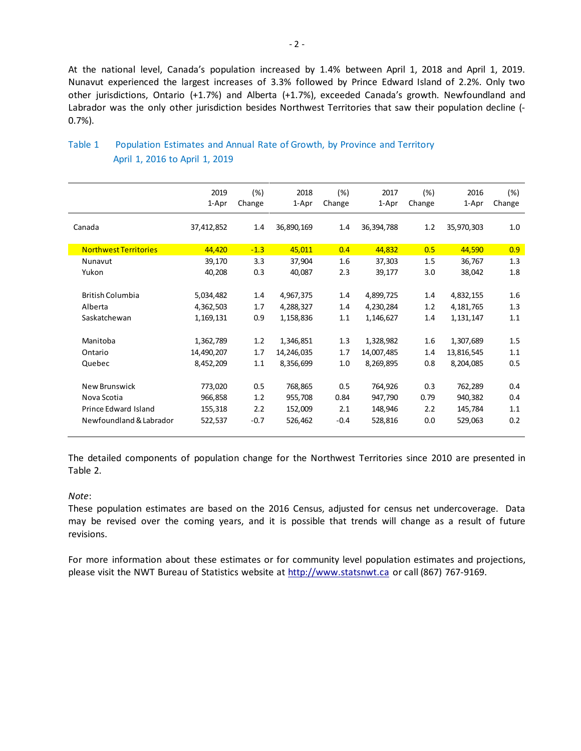At the national level, Canada's population increased by 1.4% between April 1, 2018 and April 1, 2019. Nunavut experienced the largest increases of 3.3% followed by Prince Edward Island of 2.2%. Only two other jurisdictions, Ontario (+1.7%) and Alberta (+1.7%), exceeded Canada's growth. Newfoundland and Labrador was the only other jurisdiction besides Northwest Territories that saw their population decline (- 0.7%).

|                              | 2019<br>1-Apr | (%)<br>Change | 2018<br>1-Apr | (%)<br>Change | 2017<br>1-Apr | (%)<br>Change | 2016<br>1-Apr | (%)<br>Change |
|------------------------------|---------------|---------------|---------------|---------------|---------------|---------------|---------------|---------------|
| Canada                       | 37,412,852    | $1.4\,$       | 36,890,169    | 1.4           | 36,394,788    | 1.2           | 35,970,303    | 1.0           |
| <b>Northwest Territories</b> | 44,420        | $-1.3$        | 45,011        | 0.4           | 44,832        | 0.5           | 44,590        | 0.9           |
| Nunavut                      | 39,170        | 3.3           | 37,904        | 1.6           | 37,303        | 1.5           | 36,767        | 1.3           |
| Yukon                        | 40,208        | 0.3           | 40,087        | 2.3           | 39,177        | 3.0           | 38,042        | 1.8           |
|                              |               |               |               |               |               |               |               |               |
| <b>British Columbia</b>      | 5,034,482     | 1.4           | 4,967,375     | 1.4           | 4,899,725     | 1.4           | 4,832,155     | 1.6           |
| Alberta                      | 4,362,503     | 1.7           | 4,288,327     | 1.4           | 4,230,284     | 1.2           | 4,181,765     | 1.3           |
| Saskatchewan                 | 1,169,131     | 0.9           | 1,158,836     | 1.1           | 1,146,627     | 1.4           | 1,131,147     | 1.1           |
|                              |               |               |               |               |               |               |               |               |
| Manitoba                     | 1,362,789     | 1.2           | 1,346,851     | 1.3           | 1,328,982     | 1.6           | 1,307,689     | 1.5           |
| Ontario                      | 14,490,207    | 1.7           | 14,246,035    | 1.7           | 14,007,485    | 1.4           | 13,816,545    | 1.1           |
| Quebec                       | 8,452,209     | 1.1           | 8,356,699     | 1.0           | 8,269,895     | 0.8           | 8,204,085     | 0.5           |
|                              |               |               |               |               |               |               |               |               |
| New Brunswick                | 773,020       | 0.5           | 768,865       | 0.5           | 764,926       | 0.3           | 762,289       | 0.4           |
| Nova Scotia                  | 966,858       | 1.2           | 955,708       | 0.84          | 947,790       | 0.79          | 940,382       | 0.4           |
| Prince Edward Island         | 155,318       | 2.2           | 152,009       | 2.1           | 148,946       | 2.2           | 145,784       | 1.1           |
| Newfoundland & Labrador      | 522,537       | $-0.7$        | 526,462       | $-0.4$        | 528,816       | 0.0           | 529,063       | 0.2           |
|                              |               |               |               |               |               |               |               |               |

# Table 1 Population Estimates and Annual Rate of Growth, by Province and Territory April 1, 2016 to April 1, 2019

The detailed components of population change for the Northwest Territories since 2010 are presented in Table 2.

#### *Note*:

These population estimates are based on the 2016 Census, adjusted for census net undercoverage. Data may be revised over the coming years, and it is possible that trends will change as a result of future revisions.

For more information about these estimates or for community level population estimates and projections, please visit the NWT Bureau of Statistics website at http://www.statsnwt.ca or call (867) 767-9169.